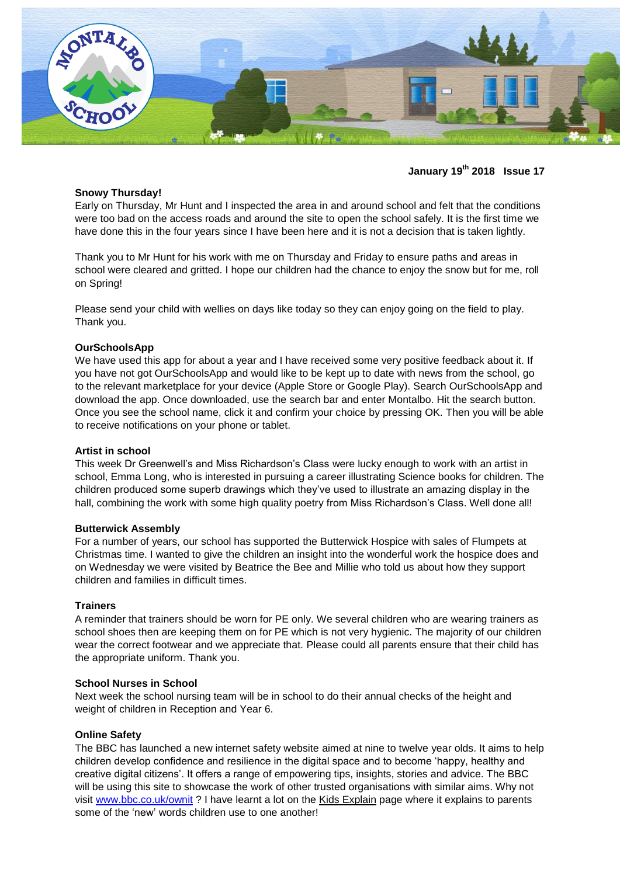

# **January 19 th 2018 Issue 17**

## **Snowy Thursday!**

Early on Thursday, Mr Hunt and I inspected the area in and around school and felt that the conditions were too bad on the access roads and around the site to open the school safely. It is the first time we have done this in the four years since I have been here and it is not a decision that is taken lightly.

Thank you to Mr Hunt for his work with me on Thursday and Friday to ensure paths and areas in school were cleared and gritted. I hope our children had the chance to enjoy the snow but for me, roll on Spring!

Please send your child with wellies on days like today so they can enjoy going on the field to play. Thank you.

## **OurSchoolsApp**

We have used this app for about a year and I have received some very positive feedback about it. If you have not got OurSchoolsApp and would like to be kept up to date with news from the school, go to the relevant marketplace for your device (Apple Store or Google Play). Search OurSchoolsApp and download the app. Once downloaded, use the search bar and enter Montalbo. Hit the search button. Once you see the school name, click it and confirm your choice by pressing OK. Then you will be able to receive notifications on your phone or tablet.

## **Artist in school**

This week Dr Greenwell's and Miss Richardson's Class were lucky enough to work with an artist in school, Emma Long, who is interested in pursuing a career illustrating Science books for children. The children produced some superb drawings which they've used to illustrate an amazing display in the hall, combining the work with some high quality poetry from Miss Richardson's Class. Well done all!

### **Butterwick Assembly**

For a number of years, our school has supported the Butterwick Hospice with sales of Flumpets at Christmas time. I wanted to give the children an insight into the wonderful work the hospice does and on Wednesday we were visited by Beatrice the Bee and Millie who told us about how they support children and families in difficult times.

#### **Trainers**

A reminder that trainers should be worn for PE only. We several children who are wearing trainers as school shoes then are keeping them on for PE which is not very hygienic. The majority of our children wear the correct footwear and we appreciate that. Please could all parents ensure that their child has the appropriate uniform. Thank you.

#### **School Nurses in School**

Next week the school nursing team will be in school to do their annual checks of the height and weight of children in Reception and Year 6.

## **Online Safety**

The BBC has launched a new internet safety website aimed at nine to twelve year olds. It aims to help children develop confidence and resilience in the digital space and to become 'happy, healthy and creative digital citizens'. It offers a range of empowering tips, insights, stories and advice. The BBC will be using this site to showcase the work of other trusted organisations with similar aims. Why not visit [www.bbc.co.uk/ownit](http://www.bbc.co.uk/ownit) ? I have learnt a lot on the Kids Explain page where it explains to parents some of the 'new' words children use to one another!